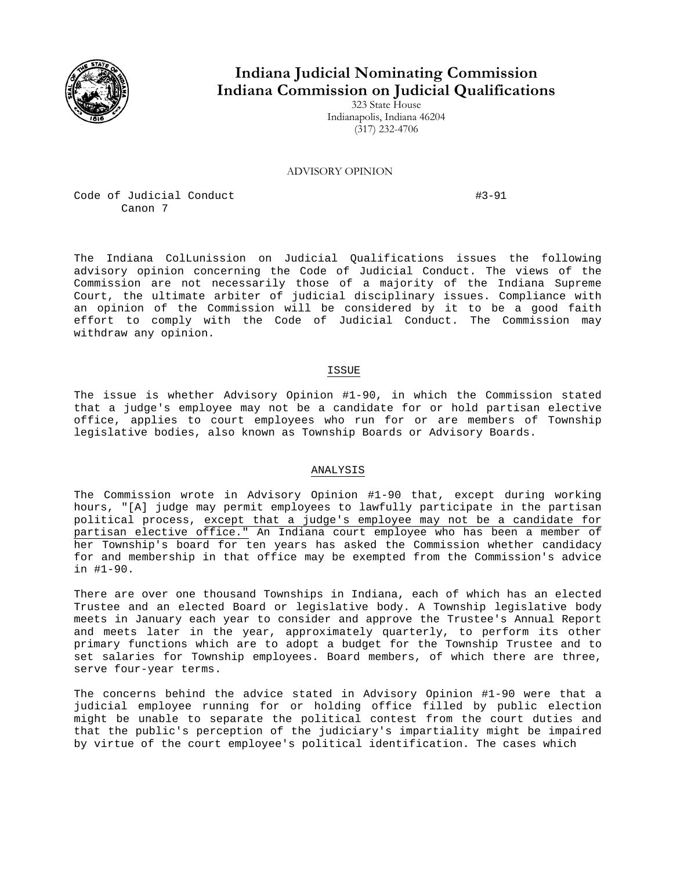

## **Indiana Judicial Nominating Commission Indiana Commission on Judicial Qualifications**

323 State House Indianapolis, Indiana 46204 (317) 232-4706

ADVISORY OPINION

Code of Judicial Conduct **#3-91** Canon 7

The Indiana ColLunission on Judicial Qualifications issues the following advisory opinion concerning the Code of Judicial Conduct. The views of the Commission are not necessarily those of a majority of the Indiana Supreme Court, the ultimate arbiter of judicial disciplinary issues. Compliance with an opinion of the Commission will be considered by it to be a good faith effort to comply with the Code of Judicial Conduct. The Commission may withdraw any opinion.

## ISSUE

The issue is whether Advisory Opinion #1-90, in which the Commission stated that a judge's employee may not be a candidate for or hold partisan elective office, applies to court employees who run for or are members of Township legislative bodies, also known as Township Boards or Advisory Boards.

## ANALYSIS

The Commission wrote in Advisory Opinion #1-90 that, except during working hours, "[A] judge may permit employees to lawfully participate in the partisan political process, except that a judge's employee may not be a candidate for partisan elective office." An Indiana court employee who has been a member of her Township's board for ten years has asked the Commission whether candidacy for and membership in that office may be exempted from the Commission's advice in #1-90.

There are over one thousand Townships in Indiana, each of which has an elected Trustee and an elected Board or legislative body. A Township legislative body meets in January each year to consider and approve the Trustee's Annual Report and meets later in the year, approximately quarterly, to perform its other primary functions which are to adopt a budget for the Township Trustee and to set salaries for Township employees. Board members, of which there are three, serve four-year terms.

The concerns behind the advice stated in Advisory Opinion #1-90 were that a judicial employee running for or holding office filled by public election might be unable to separate the political contest from the court duties and that the public's perception of the judiciary's impartiality might be impaired by virtue of the court employee's political identification. The cases which